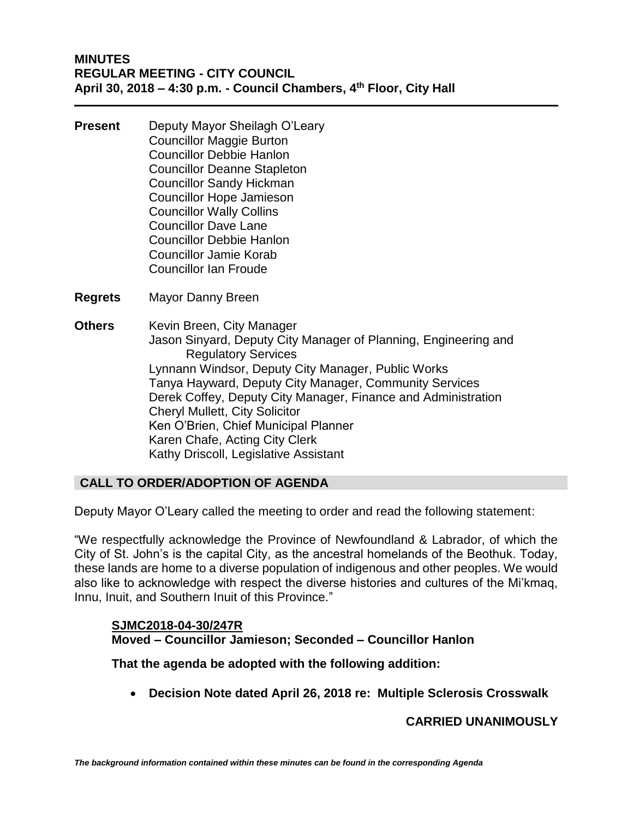- **Present** Deputy Mayor Sheilagh O'Leary Councillor Maggie Burton Councillor Debbie Hanlon Councillor Deanne Stapleton Councillor Sandy Hickman Councillor Hope Jamieson Councillor Wally Collins Councillor Dave Lane Councillor Debbie Hanlon Councillor Jamie Korab Councillor Ian Froude
- **Regrets** Mayor Danny Breen
- **Others** Kevin Breen, City Manager Jason Sinyard, Deputy City Manager of Planning, Engineering and Regulatory Services Lynnann Windsor, Deputy City Manager, Public Works Tanya Hayward, Deputy City Manager, Community Services Derek Coffey, Deputy City Manager, Finance and Administration Cheryl Mullett, City Solicitor Ken O'Brien, Chief Municipal Planner Karen Chafe, Acting City Clerk Kathy Driscoll, Legislative Assistant

# **CALL TO ORDER/ADOPTION OF AGENDA**

Deputy Mayor O'Leary called the meeting to order and read the following statement:

"We respectfully acknowledge the Province of Newfoundland & Labrador, of which the City of St. John's is the capital City, as the ancestral homelands of the Beothuk. Today, these lands are home to a diverse population of indigenous and other peoples. We would also like to acknowledge with respect the diverse histories and cultures of the Mi'kmaq, Innu, Inuit, and Southern Inuit of this Province."

# **SJMC2018-04-30/247R Moved – Councillor Jamieson; Seconded – Councillor Hanlon**

**That the agenda be adopted with the following addition:**

• **Decision Note dated April 26, 2018 re: Multiple Sclerosis Crosswalk**

# **CARRIED UNANIMOUSLY**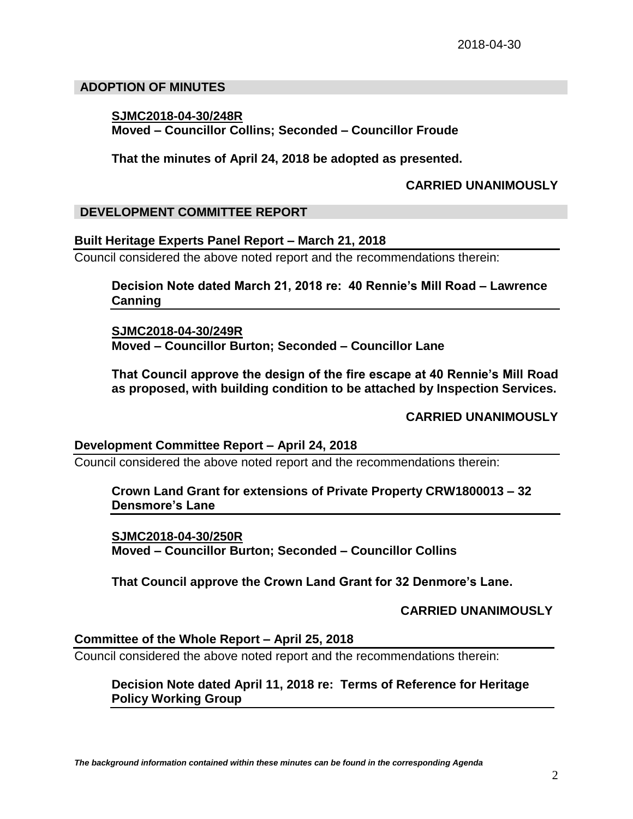#### **ADOPTION OF MINUTES**

### **SJMC2018-04-30/248R Moved – Councillor Collins; Seconded – Councillor Froude**

**That the minutes of April 24, 2018 be adopted as presented.**

### **CARRIED UNANIMOUSLY**

### **DEVELOPMENT COMMITTEE REPORT**

#### **Built Heritage Experts Panel Report – March 21, 2018**

Council considered the above noted report and the recommendations therein:

**Decision Note dated March 21, 2018 re: 40 Rennie's Mill Road – Lawrence Canning**

**SJMC2018-04-30/249R Moved – Councillor Burton; Seconded – Councillor Lane**

**That Council approve the design of the fire escape at 40 Rennie's Mill Road as proposed, with building condition to be attached by Inspection Services.**

**CARRIED UNANIMOUSLY**

#### **Development Committee Report – April 24, 2018**

Council considered the above noted report and the recommendations therein:

### **Crown Land Grant for extensions of Private Property CRW1800013 – 32 Densmore's Lane**

**SJMC2018-04-30/250R Moved – Councillor Burton; Seconded – Councillor Collins**

**That Council approve the Crown Land Grant for 32 Denmore's Lane.**

**CARRIED UNANIMOUSLY**

# **Committee of the Whole Report – April 25, 2018**

Council considered the above noted report and the recommendations therein:

# **Decision Note dated April 11, 2018 re: Terms of Reference for Heritage Policy Working Group**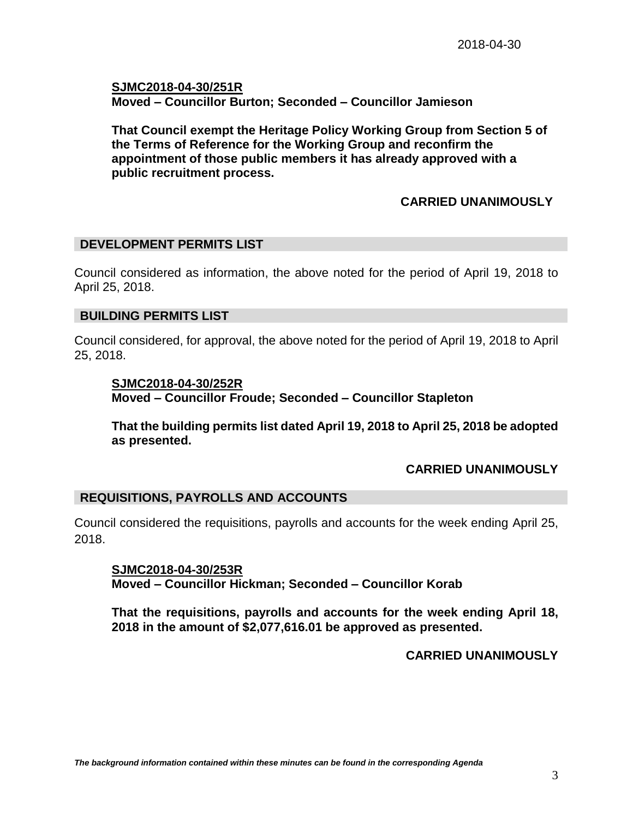**SJMC2018-04-30/251R Moved – Councillor Burton; Seconded – Councillor Jamieson**

**That Council exempt the Heritage Policy Working Group from Section 5 of the Terms of Reference for the Working Group and reconfirm the appointment of those public members it has already approved with a public recruitment process.**

# **CARRIED UNANIMOUSLY**

#### **DEVELOPMENT PERMITS LIST**

Council considered as information, the above noted for the period of April 19, 2018 to April 25, 2018.

### **BUILDING PERMITS LIST**

Council considered, for approval, the above noted for the period of April 19, 2018 to April 25, 2018.

#### **SJMC2018-04-30/252R**

**Moved – Councillor Froude; Seconded – Councillor Stapleton**

**That the building permits list dated April 19, 2018 to April 25, 2018 be adopted as presented.**

# **CARRIED UNANIMOUSLY**

# **REQUISITIONS, PAYROLLS AND ACCOUNTS**

Council considered the requisitions, payrolls and accounts for the week ending April 25, 2018.

**SJMC2018-04-30/253R Moved – Councillor Hickman; Seconded – Councillor Korab**

**That the requisitions, payrolls and accounts for the week ending April 18, 2018 in the amount of \$2,077,616.01 be approved as presented.**

# **CARRIED UNANIMOUSLY**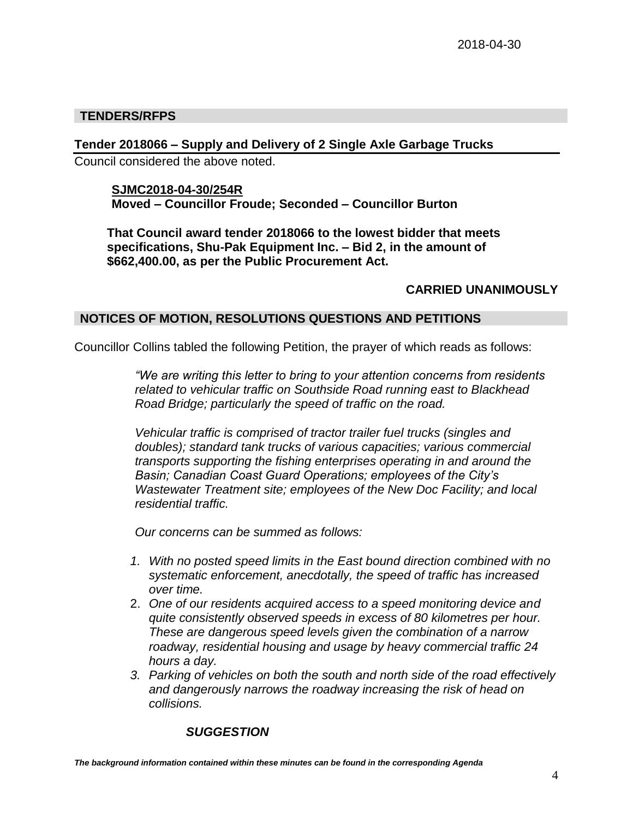# **TENDERS/RFPS**

# **Tender 2018066 – Supply and Delivery of 2 Single Axle Garbage Trucks**

Council considered the above noted.

### **SJMC2018-04-30/254R Moved – Councillor Froude; Seconded – Councillor Burton**

**That Council award tender 2018066 to the lowest bidder that meets specifications, Shu-Pak Equipment Inc. – Bid 2, in the amount of \$662,400.00, as per the Public Procurement Act.**

# **CARRIED UNANIMOUSLY**

# **NOTICES OF MOTION, RESOLUTIONS QUESTIONS AND PETITIONS**

Councillor Collins tabled the following Petition, the prayer of which reads as follows:

*"We are writing this letter to bring to your attention concerns from residents related to vehicular traffic on Southside Road running east to Blackhead Road Bridge; particularly the speed of traffic on the road.*

*Vehicular traffic is comprised of tractor trailer fuel trucks (singles and doubles); standard tank trucks of various capacities; various commercial transports supporting the fishing enterprises operating in and around the Basin; Canadian Coast Guard Operations; employees of the City's Wastewater Treatment site; employees of the New Doc Facility; and local residential traffic.*

*Our concerns can be summed as follows:*

- *1. With no posted speed limits in the East bound direction combined with no systematic enforcement, anecdotally, the speed of traffic has increased over time.*
- 2. *One of our residents acquired access to a speed monitoring device and quite consistently observed speeds in excess of 80 kilometres per hour. These are dangerous speed levels given the combination of a narrow roadway, residential housing and usage by heavy commercial traffic 24 hours a day.*
- *3. Parking of vehicles on both the south and north side of the road effectively and dangerously narrows the roadway increasing the risk of head on collisions.*

# *SUGGESTION*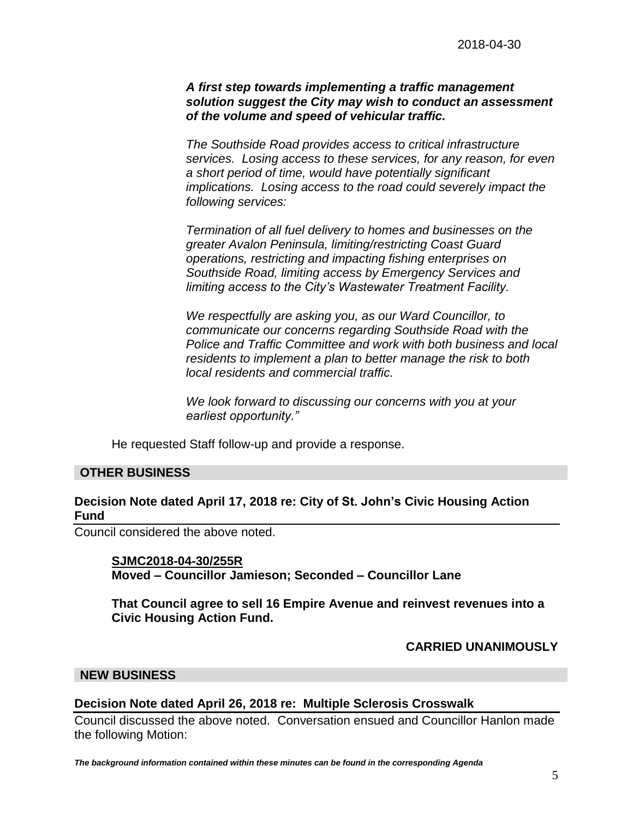### *A first step towards implementing a traffic management solution suggest the City may wish to conduct an assessment of the volume and speed of vehicular traffic.*

*The Southside Road provides access to critical infrastructure services. Losing access to these services, for any reason, for even a short period of time, would have potentially significant implications. Losing access to the road could severely impact the following services:* 

*Termination of all fuel delivery to homes and businesses on the greater Avalon Peninsula, limiting/restricting Coast Guard operations, restricting and impacting fishing enterprises on Southside Road, limiting access by Emergency Services and limiting access to the City's Wastewater Treatment Facility.*

*We respectfully are asking you, as our Ward Councillor, to communicate our concerns regarding Southside Road with the Police and Traffic Committee and work with both business and local residents to implement a plan to better manage the risk to both local residents and commercial traffic.*

*We look forward to discussing our concerns with you at your earliest opportunity."*

He requested Staff follow-up and provide a response.

#### **OTHER BUSINESS**

#### **Decision Note dated April 17, 2018 re: City of St. John's Civic Housing Action Fund**

Council considered the above noted.

#### **SJMC2018-04-30/255R**

**Moved – Councillor Jamieson; Seconded – Councillor Lane**

**That Council agree to sell 16 Empire Avenue and reinvest revenues into a Civic Housing Action Fund.**

#### **CARRIED UNANIMOUSLY**

#### **NEW BUSINESS**

#### **Decision Note dated April 26, 2018 re: Multiple Sclerosis Crosswalk**

Council discussed the above noted. Conversation ensued and Councillor Hanlon made the following Motion: